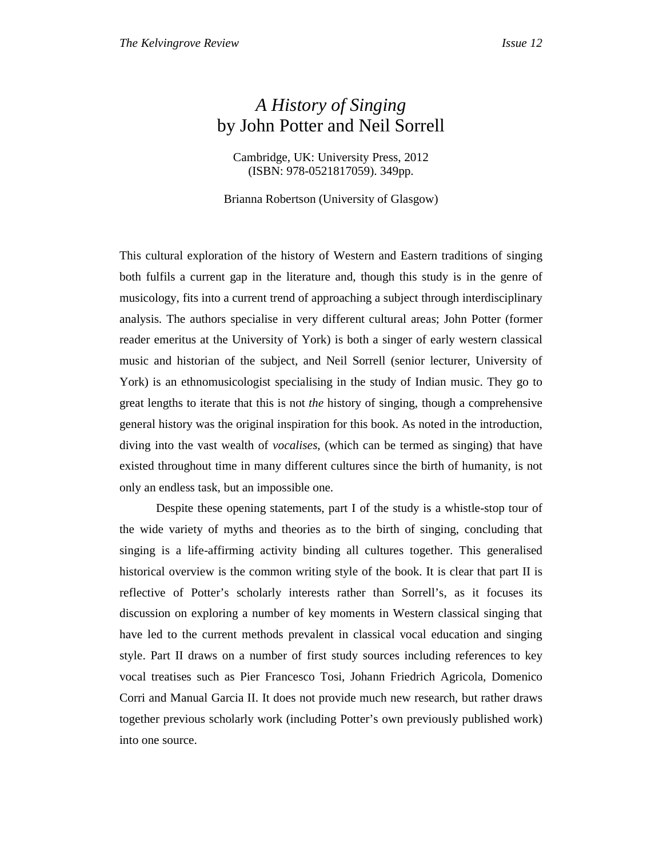## *A History of Singing*  by John Potter and Neil Sorrell

Cambridge, UK: University Press, 2012 (ISBN: 978-0521817059). 349pp.

Brianna Robertson (University of Glasgow)

This cultural exploration of the history of Western and Eastern traditions of singing both fulfils a current gap in the literature and, though this study is in the genre of musicology, fits into a current trend of approaching a subject through interdisciplinary analysis. The authors specialise in very different cultural areas; John Potter (former reader emeritus at the University of York) is both a singer of early western classical music and historian of the subject, and Neil Sorrell (senior lecturer, University of York) is an ethnomusicologist specialising in the study of Indian music. They go to great lengths to iterate that this is not *the* history of singing, though a comprehensive general history was the original inspiration for this book. As noted in the introduction, diving into the vast wealth of *vocalises*, (which can be termed as singing) that have existed throughout time in many different cultures since the birth of humanity, is not only an endless task, but an impossible one.

 Despite these opening statements, part I of the study is a whistle-stop tour of the wide variety of myths and theories as to the birth of singing, concluding that singing is a life-affirming activity binding all cultures together. This generalised historical overview is the common writing style of the book. It is clear that part II is reflective of Potter's scholarly interests rather than Sorrell's, as it focuses its discussion on exploring a number of key moments in Western classical singing that have led to the current methods prevalent in classical vocal education and singing style. Part II draws on a number of first study sources including references to key vocal treatises such as Pier Francesco Tosi, Johann Friedrich Agricola, Domenico Corri and Manual Garcia II. It does not provide much new research, but rather draws together previous scholarly work (including Potter's own previously published work) into one source.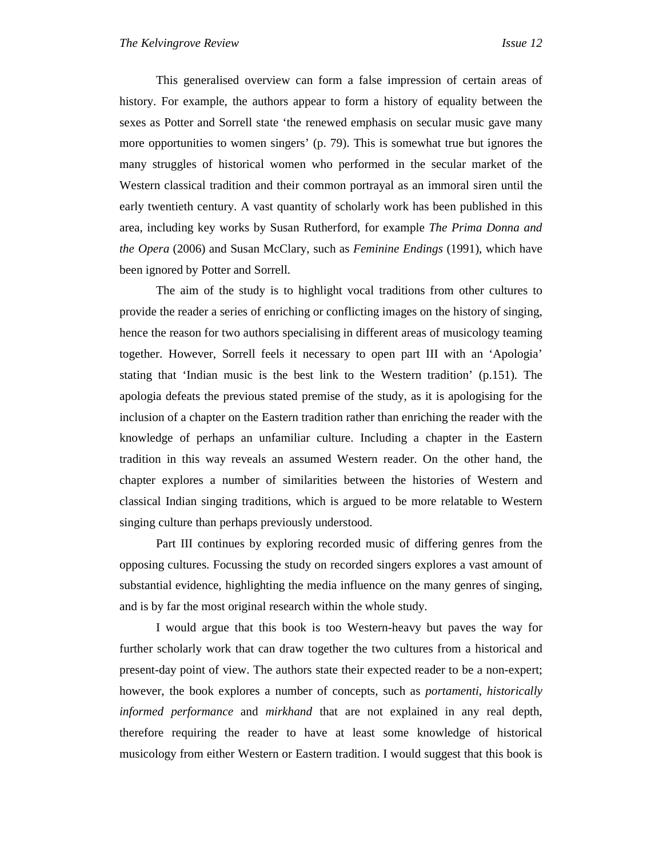This generalised overview can form a false impression of certain areas of history. For example, the authors appear to form a history of equality between the sexes as Potter and Sorrell state 'the renewed emphasis on secular music gave many more opportunities to women singers' (p. 79). This is somewhat true but ignores the many struggles of historical women who performed in the secular market of the Western classical tradition and their common portrayal as an immoral siren until the early twentieth century. A vast quantity of scholarly work has been published in this area, including key works by Susan Rutherford, for example *The Prima Donna and the Opera* (2006) and Susan McClary, such as *Feminine Endings* (1991), which have been ignored by Potter and Sorrell.

 The aim of the study is to highlight vocal traditions from other cultures to provide the reader a series of enriching or conflicting images on the history of singing, hence the reason for two authors specialising in different areas of musicology teaming together. However, Sorrell feels it necessary to open part III with an 'Apologia' stating that 'Indian music is the best link to the Western tradition' (p.151). The apologia defeats the previous stated premise of the study, as it is apologising for the inclusion of a chapter on the Eastern tradition rather than enriching the reader with the knowledge of perhaps an unfamiliar culture. Including a chapter in the Eastern tradition in this way reveals an assumed Western reader. On the other hand, the chapter explores a number of similarities between the histories of Western and classical Indian singing traditions, which is argued to be more relatable to Western singing culture than perhaps previously understood.

Part III continues by exploring recorded music of differing genres from the opposing cultures. Focussing the study on recorded singers explores a vast amount of substantial evidence, highlighting the media influence on the many genres of singing, and is by far the most original research within the whole study.

 I would argue that this book is too Western-heavy but paves the way for further scholarly work that can draw together the two cultures from a historical and present-day point of view. The authors state their expected reader to be a non-expert; however, the book explores a number of concepts, such as *portamenti*, *historically informed performance* and *mirkhand* that are not explained in any real depth, therefore requiring the reader to have at least some knowledge of historical musicology from either Western or Eastern tradition. I would suggest that this book is